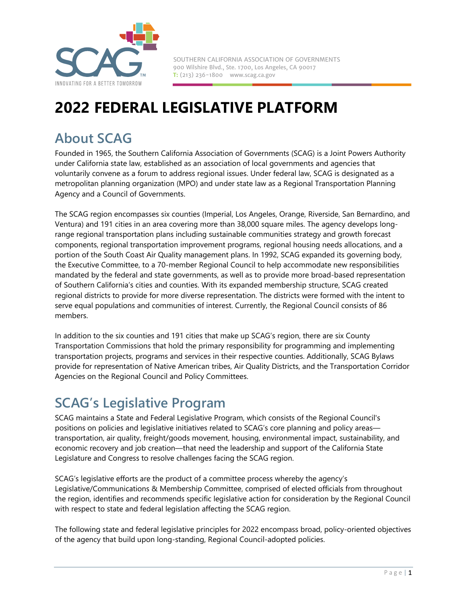

SOUTHERN CALIFORNIA ASSOCIATION OF GOVERNMENTS 900 Wilshire Blvd., Ste. 1700, Los Angeles, CA 90017 **T:** (213) 236-1800 www.scag.ca.gov

# **2022 FEDERAL LEGISLATIVE PLATFORM**

# **About SCAG**

Founded in 1965, the Southern California Association of Governments (SCAG) is a Joint Powers Authority under California state law, established as an association of local governments and agencies that voluntarily convene as a forum to address regional issues. Under federal law, SCAG is designated as a metropolitan planning organization (MPO) and under state law as a Regional Transportation Planning Agency and a Council of Governments.

The SCAG region encompasses six counties (Imperial, Los Angeles, Orange, Riverside, San Bernardino, and Ventura) and 191 cities in an area covering more than 38,000 square miles. The agency develops longrange regional transportation plans including sustainable communities strategy and growth forecast components, regional transportation improvement programs, regional housing needs allocations, and a portion of the South Coast Air Quality management plans. In 1992, SCAG expanded its governing body, the Executive Committee, to a 70-member Regional Council to help accommodate new responsibilities mandated by the federal and state governments, as well as to provide more broad-based representation of Southern California's cities and counties. With its expanded membership structure, SCAG created regional districts to provide for more diverse representation. The districts were formed with the intent to serve equal populations and communities of interest. Currently, the Regional Council consists of 86 members.

In addition to the six counties and 191 cities that make up SCAG's region, there are six County Transportation Commissions that hold the primary responsibility for programming and implementing transportation projects, programs and services in their respective counties. Additionally, SCAG Bylaws provide for representation of Native American tribes, Air Quality Districts, and the Transportation Corridor Agencies on the Regional Council and Policy Committees.

# **SCAG's Legislative Program**

SCAG maintains a State and Federal Legislative Program, which consists of the Regional Council's positions on policies and legislative initiatives related to SCAG's core planning and policy areas transportation, air quality, freight/goods movement, housing, environmental impact, sustainability, and economic recovery and job creation—that need the leadership and support of the California State Legislature and Congress to resolve challenges facing the SCAG region.

SCAG's legislative efforts are the product of a committee process whereby the agency's Legislative/Communications & Membership Committee, comprised of elected officials from throughout the region, identifies and recommends specific legislative action for consideration by the Regional Council with respect to state and federal legislation affecting the SCAG region.

The following state and federal legislative principles for 2022 encompass broad, policy-oriented objectives of the agency that build upon long-standing, Regional Council-adopted policies.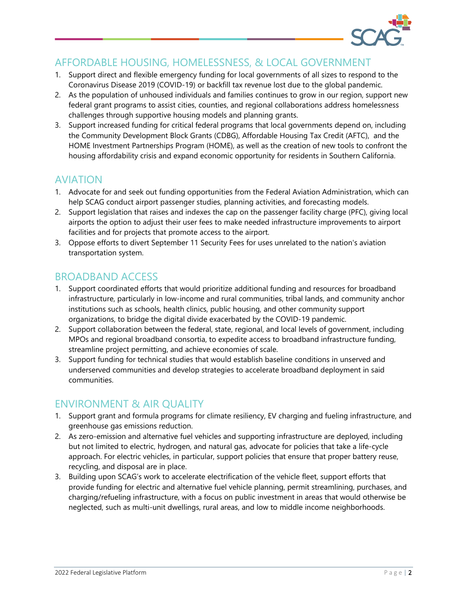

#### AFFORDABLE HOUSING, HOMELESSNESS, & LOCAL GOVERNMENT

- 1. Support direct and flexible emergency funding for local governments of all sizes to respond to the Coronavirus Disease 2019 (COVID-19) or backfill tax revenue lost due to the global pandemic.
- 2. As the population of unhoused individuals and families continues to grow in our region, support new federal grant programs to assist cities, counties, and regional collaborations address homelessness challenges through supportive housing models and planning grants.
- housing affordability crisis and expand economic opportunity for residents in Southern California. 3. Support increased funding for critical federal programs that local governments depend on, including the Community Development Block Grants (CDBG), Affordable Housing Tax Credit (AFTC), and the HOME Investment Partnerships Program (HOME), as well as the creation of new tools to confront the

#### AVIATION

- 1. Advocate for and seek out funding opportunities from the Federal Aviation Administration, which can help SCAG conduct airport passenger studies, planning activities, and forecasting models.
- 2. Support legislation that raises and indexes the cap on the passenger facility charge (PFC), giving local airports the option to adjust their user fees to make needed infrastructure improvements to airport facilities and for projects that promote access to the airport.
- 3. Oppose efforts to divert September 11 Security Fees for uses unrelated to the nation's aviation transportation system.

#### BROADBAND ACCESS

- 1. Support coordinated efforts that would prioritize additional funding and resources for broadband infrastructure, particularly in low-income and rural communities, tribal lands, and community anchor institutions such as schools, health clinics, public housing, and other community support organizations, to bridge the digital divide exacerbated by the COVID-19 pandemic.
- 2. Support collaboration between the federal, state, regional, and local levels of government, including MPOs and regional broadband consortia, to expedite access to broadband infrastructure funding, streamline project permitting, and achieve economies of scale.
- 3. Support funding for technical studies that would establish baseline conditions in unserved and underserved communities and develop strategies to accelerate broadband deployment in said communities.

#### ENVIRONMENT & AIR QUALITY

- 1. Support grant and formula programs for climate resiliency, EV charging and fueling infrastructure, and greenhouse gas emissions reduction.
- 2. As zero-emission and alternative fuel vehicles and supporting infrastructure are deployed, including but not limited to electric, hydrogen, and natural gas, advocate for policies that take a life-cycle approach. For electric vehicles, in particular, support policies that ensure that proper battery reuse, recycling, and disposal are in place.
- 3. Building upon SCAG's work to accelerate electrification of the vehicle fleet, support efforts that provide funding for electric and alternative fuel vehicle planning, permit streamlining, purchases, and charging/refueling infrastructure, with a focus on public investment in areas that would otherwise be neglected, such as multi-unit dwellings, rural areas, and low to middle income neighborhoods.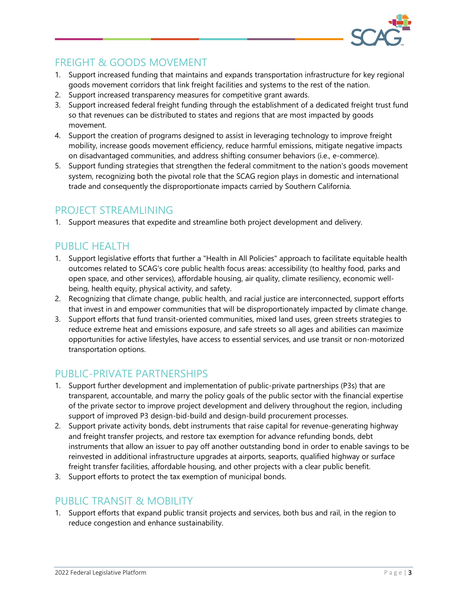

### FREIGHT & GOODS MOVEMENT

- 1. Support increased funding that maintains and expands transportation infrastructure for key regional goods movement corridors that link freight facilities and systems to the rest of the nation.
- 2. Support increased transparency measures for competitive grant awards.
- 3. Support increased federal freight funding through the establishment of a dedicated freight trust fund so that revenues can be distributed to states and regions that are most impacted by goods movement.
- on disadvantaged communities, and address shifting consumer behaviors (i.e., e-commerce). 4. Support the creation of programs designed to assist in leveraging technology to improve freight mobility, increase goods movement efficiency, reduce harmful emissions, mitigate negative impacts
- 5. Support funding strategies that strengthen the federal commitment to the nation's goods movement system, recognizing both the pivotal role that the SCAG region plays in domestic and international trade and consequently the disproportionate impacts carried by Southern California.

#### PROJECT STREAMLINING

1. Support measures that expedite and streamline both project development and delivery.

#### PUBLIC HEALTH

- 1. Support legislative efforts that further a "Health in All Policies" approach to facilitate equitable health outcomes related to SCAG's core public health focus areas: accessibility (to healthy food, parks and open space, and other services), affordable housing, air quality, climate resiliency, economic wellbeing, health equity, physical activity, and safety.
- 2. Recognizing that climate change, public health, and racial justice are interconnected, support efforts that invest in and empower communities that will be disproportionately impacted by climate change.
- 3. Support efforts that fund transit-oriented communities, mixed land uses, green streets strategies to reduce extreme heat and emissions exposure, and safe streets so all ages and abilities can maximize opportunities for active lifestyles, have access to essential services, and use transit or non-motorized transportation options.

### PUBLIC-PRIVATE PARTNERSHIPS

- 1. Support further development and implementation of public-private partnerships (P3s) that are transparent, accountable, and marry the policy goals of the public sector with the financial expertise of the private sector to improve project development and delivery throughout the region, including support of improved P3 design-bid-build and design-build procurement processes.
- 2. Support private activity bonds, debt instruments that raise capital for revenue-generating highway and freight transfer projects, and restore tax exemption for advance refunding bonds, debt instruments that allow an issuer to pay off another outstanding bond in order to enable savings to be reinvested in additional infrastructure upgrades at airports, seaports, qualified highway or surface freight transfer facilities, affordable housing, and other projects with a clear public benefit.
- 3. Support efforts to protect the tax exemption of municipal bonds.

#### PUBLIC TRANSIT & MOBILITY

1. Support efforts that expand public transit projects and services, both bus and rail, in the region to reduce congestion and enhance sustainability.